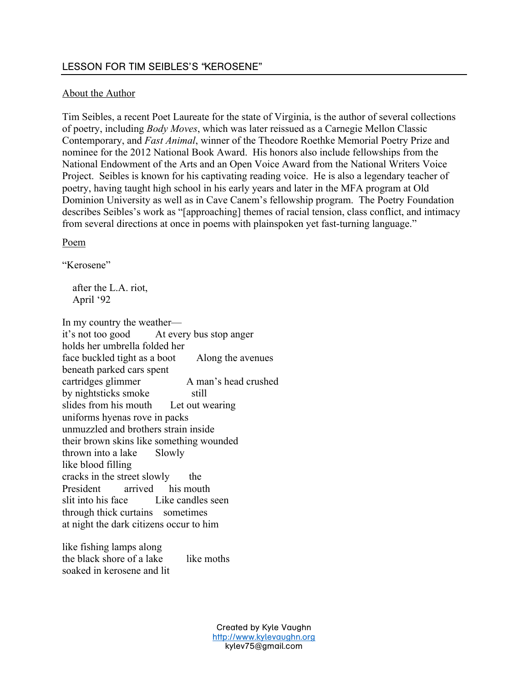# About the Author

Tim Seibles, a recent Poet Laureate for the state of Virginia, is the author of several collections of poetry, including *Body Moves*, which was later reissued as a Carnegie Mellon Classic Contemporary, and *Fast Animal*, winner of the Theodore Roethke Memorial Poetry Prize and nominee for the 2012 National Book Award. His honors also include fellowships from the National Endowment of the Arts and an Open Voice Award from the National Writers Voice Project. Seibles is known for his captivating reading voice. He is also a legendary teacher of poetry, having taught high school in his early years and later in the MFA program at Old Dominion University as well as in Cave Canem's fellowship program. The Poetry Foundation describes Seibles's work as "[approaching] themes of racial tension, class conflict, and intimacy from several directions at once in poems with plainspoken yet fast-turning language."

Poem

"Kerosene"

 after the L.A. riot, April '92

In my country the weather it's not too good At every bus stop anger holds her umbrella folded her face buckled tight as a boot Along the avenues beneath parked cars spent cartridges glimmer A man's head crushed by nightsticks smoke still slides from his mouth Let out wearing uniforms hyenas rove in packs unmuzzled and brothers strain inside their brown skins like something wounded thrown into a lake Slowly like blood filling cracks in the street slowly the President arrived his mouth slit into his face Like candles seen through thick curtains sometimes at night the dark citizens occur to him

like fishing lamps along the black shore of a lake like moths soaked in kerosene and lit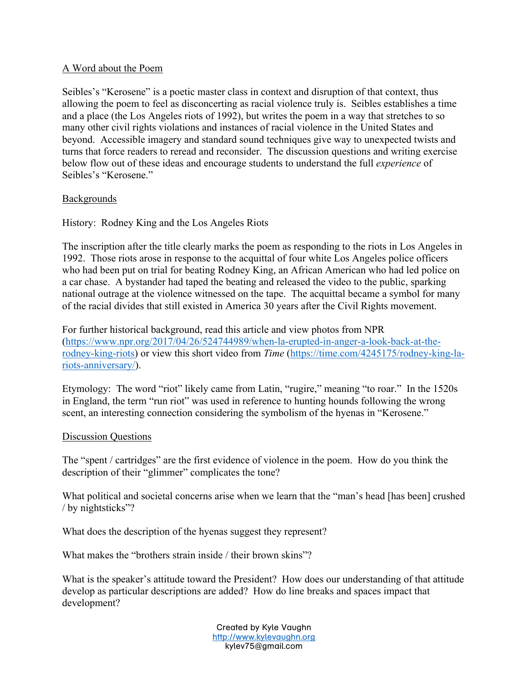# A Word about the Poem

Seibles's "Kerosene" is a poetic master class in context and disruption of that context, thus allowing the poem to feel as disconcerting as racial violence truly is. Seibles establishes a time and a place (the Los Angeles riots of 1992), but writes the poem in a way that stretches to so many other civil rights violations and instances of racial violence in the United States and beyond. Accessible imagery and standard sound techniques give way to unexpected twists and turns that force readers to reread and reconsider. The discussion questions and writing exercise below flow out of these ideas and encourage students to understand the full *experience* of Seibles's "Kerosene."

## **Backgrounds**

History: Rodney King and the Los Angeles Riots

The inscription after the title clearly marks the poem as responding to the riots in Los Angeles in 1992. Those riots arose in response to the acquittal of four white Los Angeles police officers who had been put on trial for beating Rodney King, an African American who had led police on a car chase. A bystander had taped the beating and released the video to the public, sparking national outrage at the violence witnessed on the tape. The acquittal became a symbol for many of the racial divides that still existed in America 30 years after the Civil Rights movement.

For further historical background, read this article and view photos from NPR (https://www.npr.org/2017/04/26/524744989/when-la-erupted-in-anger-a-look-back-at-therodney-king-riots) or view this short video from *Time* (https://time.com/4245175/rodney-king-lariots-anniversary/).

Etymology: The word "riot" likely came from Latin, "rugire," meaning "to roar." In the 1520s in England, the term "run riot" was used in reference to hunting hounds following the wrong scent, an interesting connection considering the symbolism of the hyenas in "Kerosene."

### Discussion Questions

The "spent / cartridges" are the first evidence of violence in the poem. How do you think the description of their "glimmer" complicates the tone?

What political and societal concerns arise when we learn that the "man's head [has been] crushed / by nightsticks"?

What does the description of the hyenas suggest they represent?

What makes the "brothers strain inside / their brown skins"?

What is the speaker's attitude toward the President? How does our understanding of that attitude develop as particular descriptions are added? How do line breaks and spaces impact that development?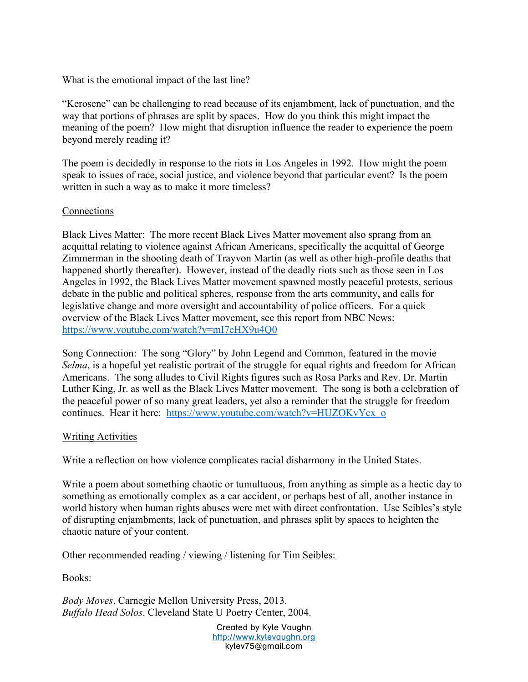What is the emotional impact of the last line?

"Kerosene" can be challenging to read because of its enjambment, lack of punctuation, and the way that portions of phrases are split by spaces. How do you think this might impact the meaning of the poem? How might that disruption influence the reader to experience the poem beyond merely reading it?

The poem is decidedly in response to the riots in Los Angeles in 1992. How might the poem speak to issues of race, social justice, and violence beyond that particular event? Is the poem written in such a way as to make it more timeless?

## Connections

Black Lives Matter: The more recent Black Lives Matter movement also sprang from an acquittal relating to violence against African Americans, specifically the acquittal of George Zimmerman in the shooting death of Trayvon Martin (as well as other high-profile deaths that happened shortly thereafter). However, instead of the deadly riots such as those seen in Los Angeles in 1992, the Black Lives Matter movement spawned mostly peaceful protests, serious debate in the public and political spheres, response from the arts community, and calls for legislative change and more oversight and accountability of police officers. For a quick overview of the Black Lives Matter movement, see this report from NBC News: https://www.youtube.com/watch?v=mI7eHX9u4Q0

Song Connection: The song "Glory" by John Legend and Common, featured in the movie *Selma*, is a hopeful yet realistic portrait of the struggle for equal rights and freedom for African Americans. The song alludes to Civil Rights figures such as Rosa Parks and Rev. Dr. Martin Luther King, Jr. as well as the Black Lives Matter movement. The song is both a celebration of the peaceful power of so many great leaders, yet also a reminder that the struggle for freedom continues. Hear it here: https://www.youtube.com/watch?v=HUZOKvYcx\_o

### Writing Activities

Write a reflection on how violence complicates racial disharmony in the United States.

Write a poem about something chaotic or tumultuous, from anything as simple as a hectic day to something as emotionally complex as a car accident, or perhaps best of all, another instance in world history when human rights abuses were met with direct confrontation. Use Seibles's style of disrupting enjambments, lack of punctuation, and phrases split by spaces to heighten the chaotic nature of your content.

### Other recommended reading / viewing / listening for Tim Seibles:

Books:

*Body Moves*. Carnegie Mellon University Press, 2013. *Buffalo Head Solos*. Cleveland State U Poetry Center, 2004.